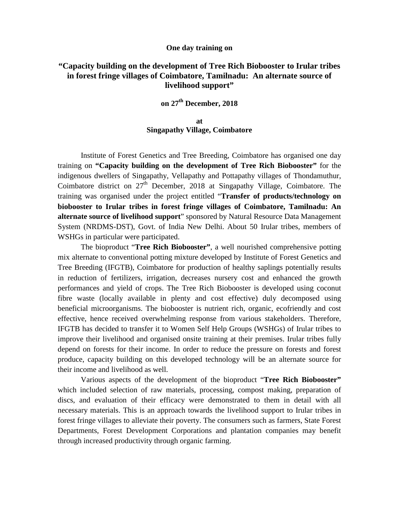## **One day training on**

## **"Capacity building on the development of Tree Rich Biobooster to Irular tribes in forest fringe villages of Coimbatore, Tamilnadu: An alternate source of livelihood support"**

## **on 27th December, 2018**

## **at Singapathy Village, Coimbatore**

Institute of Forest Genetics and Tree Breeding, Coimbatore has organised one day training on **"Capacity building on the development of Tree Rich Biobooster"** for the indigenous dwellers of Singapathy, Vellapathy and Pottapathy villages of Thondamuthur, Coimbatore district on 27<sup>th</sup> December, 2018 at Singapathy Village, Coimbatore. The training was organised under the project entitled "**Transfer of products/technology on biobooster to Irular tribes in forest fringe villages of Coimbatore, Tamilnadu: An alternate source of livelihood support**" sponsored by Natural Resource Data Management System (NRDMS-DST), Govt. of India New Delhi. About 50 Irular tribes, members of WSHGs in particular were participated.

The bioproduct "**Tree Rich Biobooster"**, a well nourished comprehensive potting mix alternate to conventional potting mixture developed by Institute of Forest Genetics and Tree Breeding (IFGTB), Coimbatore for production of healthy saplings potentially results in reduction of fertilizers, irrigation, decreases nursery cost and enhanced the growth performances and yield of crops. The Tree Rich Biobooster is developed using coconut fibre waste (locally available in plenty and cost effective) duly decomposed using beneficial microorganisms. The biobooster is nutrient rich, organic, ecofriendly and cost effective, hence received overwhelming response from various stakeholders. Therefore, IFGTB has decided to transfer it to Women Self Help Groups (WSHGs) of Irular tribes to improve their livelihood and organised onsite training at their premises. Irular tribes fully depend on forests for their income. In order to reduce the pressure on forests and forest produce, capacity building on this developed technology will be an alternate source for their income and livelihood as well.

Various aspects of the development of the bioproduct "**Tree Rich Biobooster"** which included selection of raw materials, processing, compost making, preparation of discs, and evaluation of their efficacy were demonstrated to them in detail with all necessary materials. This is an approach towards the livelihood support to Irular tribes in forest fringe villages to alleviate their poverty. The consumers such as farmers, State Forest Departments, Forest Development Corporations and plantation companies may benefit through increased productivity through organic farming.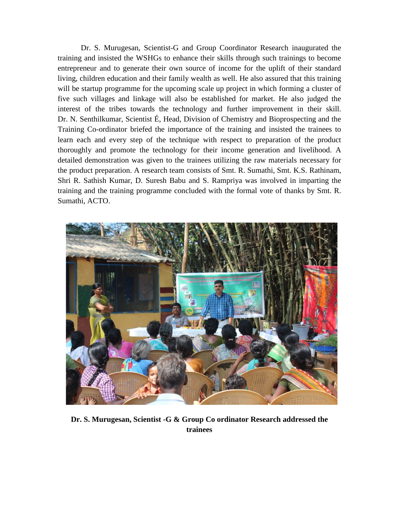Dr. S. Murugesan, Scientist-G and Group Coordinator Research inaugurated the training and insisted the WSHGs to enhance their skills through such trainings to become entrepreneur and to generate their own source of income for the uplift of their standard living, children education and their family wealth as well. He also assured that this training will be startup programme for the upcoming scale up project in which forming a cluster of five such villages and linkage will also be established for market. He also judged the interest of the tribes towards the technology and further improvement in their skill. Dr. N. Senthilkumar, Scientist É, Head, Division of Chemistry and Bioprospecting and the Training Co-ordinator briefed the importance of the training and insisted the trainees to learn each and every step of the technique with respect to preparation of the product thoroughly and promote the technology for their income generation and livelihood. A detailed demonstration was given to the trainees utilizing the raw materials necessary for the product preparation. A research team consists of Smt. R. Sumathi, Smt. K.S. Rathinam, Shri R. Sathish Kumar, D. Suresh Babu and S. Rampriya was involved in imparting the training and the training programme concluded with the formal vote of thanks by Smt. R. Sumathi, ACTO.



**Dr. S. Murugesan, Scientist -G & Group Co ordinator Research addressed the trainees**